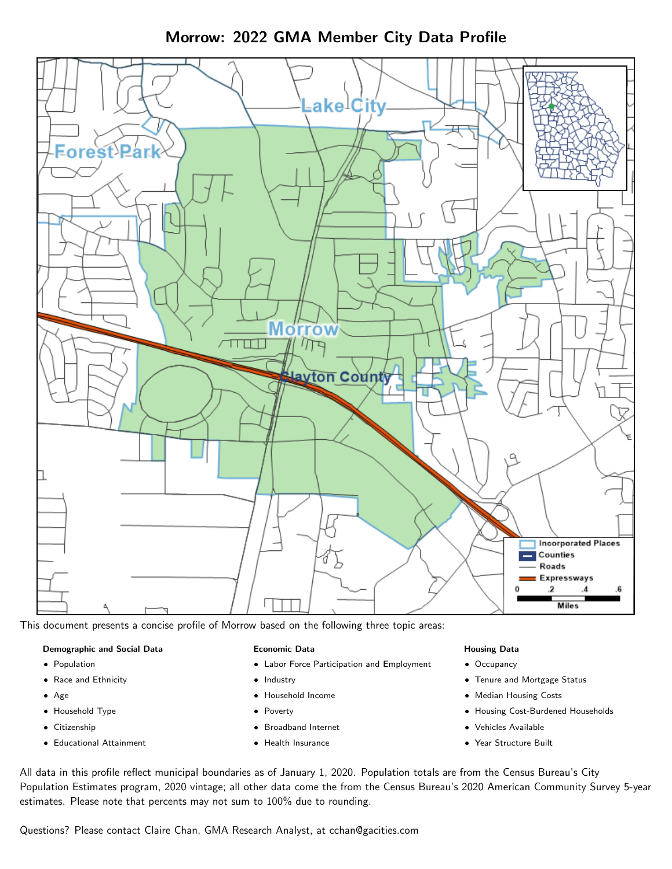Morrow: 2022 GMA Member City Data Profile



This document presents a concise profile of Morrow based on the following three topic areas:

### Demographic and Social Data

- **•** Population
- Race and Ethnicity
- Age
- Household Type
- **Citizenship**
- Educational Attainment

#### Economic Data

- Labor Force Participation and Employment
- Industry
- Household Income
- Poverty
- Broadband Internet
- Health Insurance

### Housing Data

- Occupancy
- Tenure and Mortgage Status
- Median Housing Costs
- Housing Cost-Burdened Households
- Vehicles Available
- Year Structure Built

All data in this profile reflect municipal boundaries as of January 1, 2020. Population totals are from the Census Bureau's City Population Estimates program, 2020 vintage; all other data come the from the Census Bureau's 2020 American Community Survey 5-year estimates. Please note that percents may not sum to 100% due to rounding.

Questions? Please contact Claire Chan, GMA Research Analyst, at [cchan@gacities.com.](mailto:cchan@gacities.com)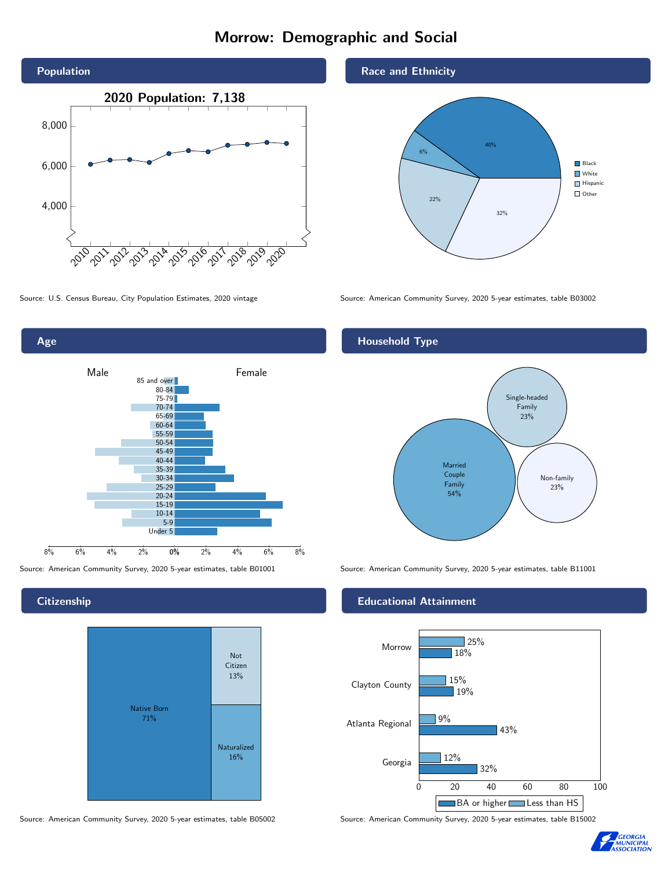# Morrow: Demographic and Social





**Citizenship** 



Source: American Community Survey, 2020 5-year estimates, table B05002 Source: American Community Survey, 2020 5-year estimates, table B15002

Race and Ethnicity



Source: U.S. Census Bureau, City Population Estimates, 2020 vintage Source: American Community Survey, 2020 5-year estimates, table B03002

# Household Type



Source: American Community Survey, 2020 5-year estimates, table B01001 Source: American Community Survey, 2020 5-year estimates, table B11001

#### Educational Attainment



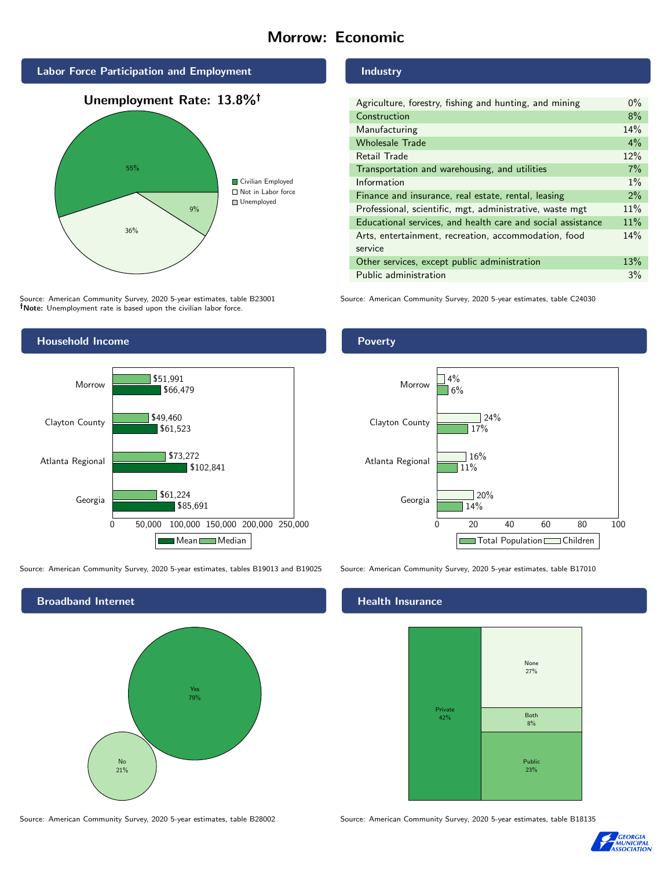# Morrow: Economic





Source: American Community Survey, 2020 5-year estimates, table B23001 Note: Unemployment rate is based upon the civilian labor force.



Source: American Community Survey, 2020 5-year estimates, tables B19013 and B19025 Source: American Community Survey, 2020 5-year estimates, table B17010



#### Industry

| Agriculture, forestry, fishing and hunting, and mining      | $0\%$ |
|-------------------------------------------------------------|-------|
| Construction                                                | 8%    |
| Manufacturing                                               | 14%   |
| <b>Wholesale Trade</b>                                      | $4\%$ |
| Retail Trade                                                | 12%   |
| Transportation and warehousing, and utilities               | 7%    |
| Information                                                 | $1\%$ |
| Finance and insurance, real estate, rental, leasing         | $2\%$ |
| Professional, scientific, mgt, administrative, waste mgt    | 11%   |
| Educational services, and health care and social assistance | 11%   |
| Arts, entertainment, recreation, accommodation, food        | 14%   |
| service                                                     |       |
| Other services, except public administration                | 13%   |
| Public administration                                       | 3%    |

Source: American Community Survey, 2020 5-year estimates, table C24030

## Poverty



# **Health Insurance**



Source: American Community Survey, 2020 5-year estimates, table B28002 Source: American Community Survey, 2020 5-year estimates, table B18135